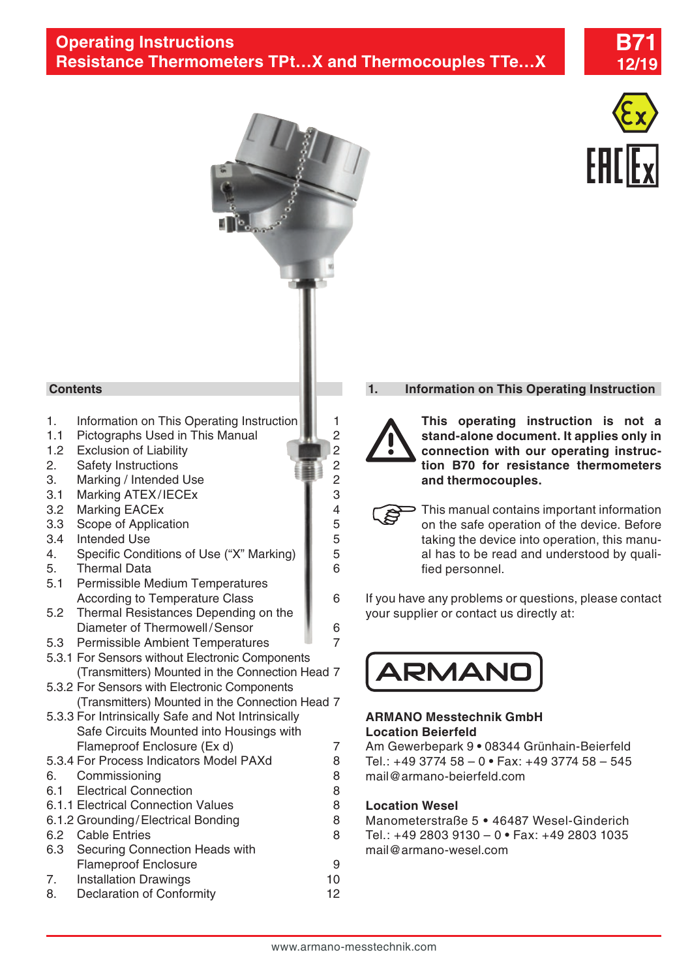



# **Contents**

- 1. Information on This Operating Instruction 1.1.<br>1.1 Pictographs Used in This Manual
- [1.1 Pictographs Used in This Manual](#page-1-0) 2.2 Exclusion of Liability
- 1.2 [Exclusion of Liability](#page-1-0)<br>2. Safety Instructions 2 2
- 2. [Safety Instructions](#page-1-0)<br>3. Marking / Intended Use
- 3. [Marking / Intended Use](#page-1-0)
- 3.1 [Marking ATEX/IECEx](#page-2-0) 3.2 Marking FACEx 4
- 3.2 [Marking EACEx](#page-3-0) 4<br>3.3 Scope of Application 5
- 3.3 [Scope of Application](#page-4-0) 6.4 Intended Use 6.5 Intended Use
- 
- 3.4 [Intended Use](#page-4-0)<br>4. Specific Conditions of Use ("X" Marking) 5 4. [Specific Conditions of Use \("X" Marking\)](#page-4-0) 5. [Thermal Data](#page-5-0) 6
- 
- [5.1 Permissible Medium Temperatures](#page-5-0)  [According to Temperature Class](#page-5-0) **6** 6
- [5.2 Thermal Resistances Depending on the](#page-5-0)  [Diameter of Thermowell/Sensor](#page-5-0) **6**
- [5.3 Permissible Ambient Temperatures](#page-6-0) **1** 7
- [5.3.1 For Sensors without Electronic Components](#page-6-0)  [\(Transmitters\) Mounted in the Connection Head](#page-6-0) 7
- [5.3.2 For Sensors with Electronic Components](#page-6-0)  [\(Transmitters\) Mounted in the Connection Head](#page-6-0) 7
- [5.3.3 For Intrinsically Safe and Not Intrinsically](#page-6-0)  [Safe Circuits Mounted into Housings with](#page-6-0)  [Flameproof Enclosure \(Ex d\) 7](#page-6-0)
- 5.3.4 [For Process Indicators Model PAXd](#page-7-0) 8
- 6. [Commissioning](#page-7-0) 8
- 6.1 [Electrical Connection](#page-7-0) 8
- 6.1.1 [Electrical Connection Values](#page-7-0) 8
- 6.1.2 [Grounding/Electrical Bonding](#page-7-0) 8
- 6.2 [Cable Entries](#page-7-0) 8
- [6.3 Securing Connection Heads with](#page-8-0)  [Flameproof Enclosure](#page-8-0) 9
- 7. [Installation Drawings](#page-9-0) 10
- 8. [Declaration of Conformity](#page-11-0) 12

## **1. Information on This Operating Instruction**



**This operating instruction is not a stand-alone document. It applies only in connection with our operating instruction B70 for resistance thermometers and thermocouples.**

- This manual contains important information on the safe operation of the device. Before taking the device into operation, this manual has to be read and understood by qualified personnel.
- If you have any problems or questions, please contact your supplier or contact us directly at:



## **ARMANO Messtechnik GmbH Location Beierfeld**

Am Gewerbepark 9 **•** 08344 Grünhain-Beierfeld Tel.: +49 3774 58 – 0 **•** Fax: +49 3774 58 – 545 mail@armano-beierfeld.com

## **Location Wesel**

Manometerstraße 5 **•** 46487 Wesel-Ginderich Tel.: +49 2803 9130 – 0 **•** Fax: +49 2803 1035 mail@armano-wesel.com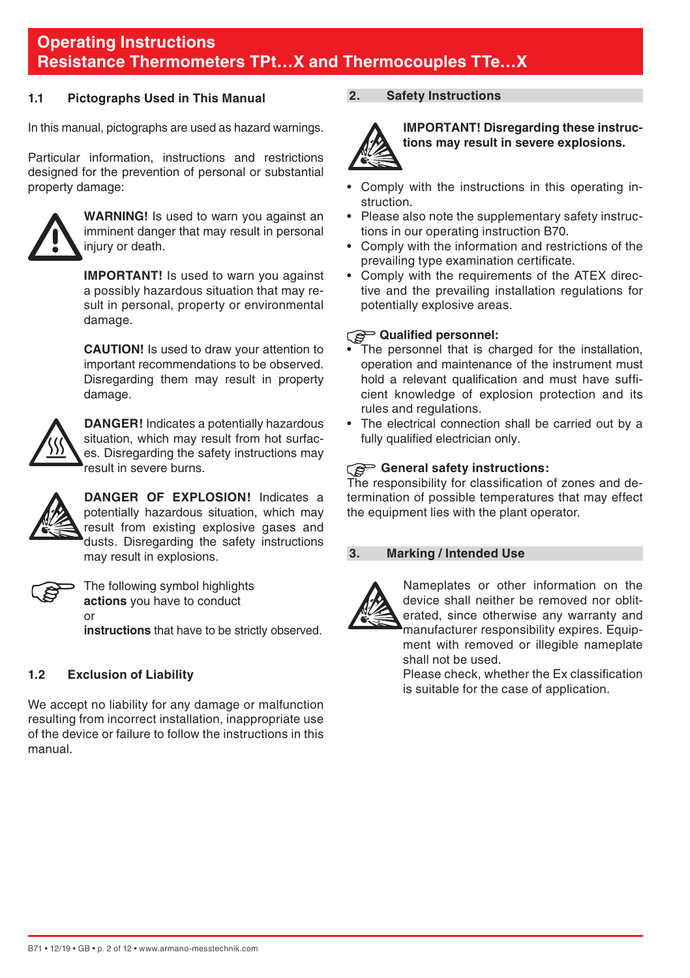#### <span id="page-1-0"></span>**1.1 Pictographs Used in This Manual**

In this manual, pictographs are used as hazard warnings.

Particular information, instructions and restrictions designed for the prevention of personal or substantial property damage:



**WARNING!** Is used to warn you against an imminent danger that may result in personal injury or death.

**IMPORTANT!** Is used to warn you against a possibly hazardous situation that may result in personal, property or environmental damage.

 **CAUTION!** Is used to draw your attention to important recommendations to be observed. Disregarding them may result in property damage.



**DANGER!** Indicates a potentially hazardous situation, which may result from hot surfaces. Disregarding the safety instructions may result in severe burns.



**DANGER OF EXPLOSION!** Indicates a potentially hazardous situation, which may result from existing explosive gases and dusts. Disregarding the safety instructions may result in explosions.



The following symbol highlights **actions** you have to conduct or

**instructions** that have to be strictly observed.

## **1.2 Exclusion of Liability**

We accept no liability for any damage or malfunction resulting from incorrect installation, inappropriate use of the device or failure to follow the instructions in this manual.

### **2. Safety Instructions**



**IMPORTANT! Disregarding these instructions may result in severe explosions.**

- Comply with the instructions in this operating instruction.
- Please also note the supplementary safety instructions in our operating instruction B70.
- Comply with the information and restrictions of the prevailing type examination certificate.
- Comply with the requirements of the ATEX directive and the prevailing installation regulations for potentially explosive areas.

### **Qualified personnel:**

- The personnel that is charged for the installation, operation and maintenance of the instrument must hold a relevant qualification and must have sufficient knowledge of explosion protection and its rules and regulations.
- The electrical connection shall be carried out by a fully qualified electrician only.

### General safety instructions:

The responsibility for classification of zones and determination of possible temperatures that may effect the equipment lies with the plant operator.

#### **3. Marking / Intended Use**



Nameplates or other information on the device shall neither be removed nor obliterated, since otherwise any warranty and manufacturer responsibility expires. Equipment with removed or illegible nameplate shall not be used.

 Please check, whether the Ex classification is suitable for the case of application.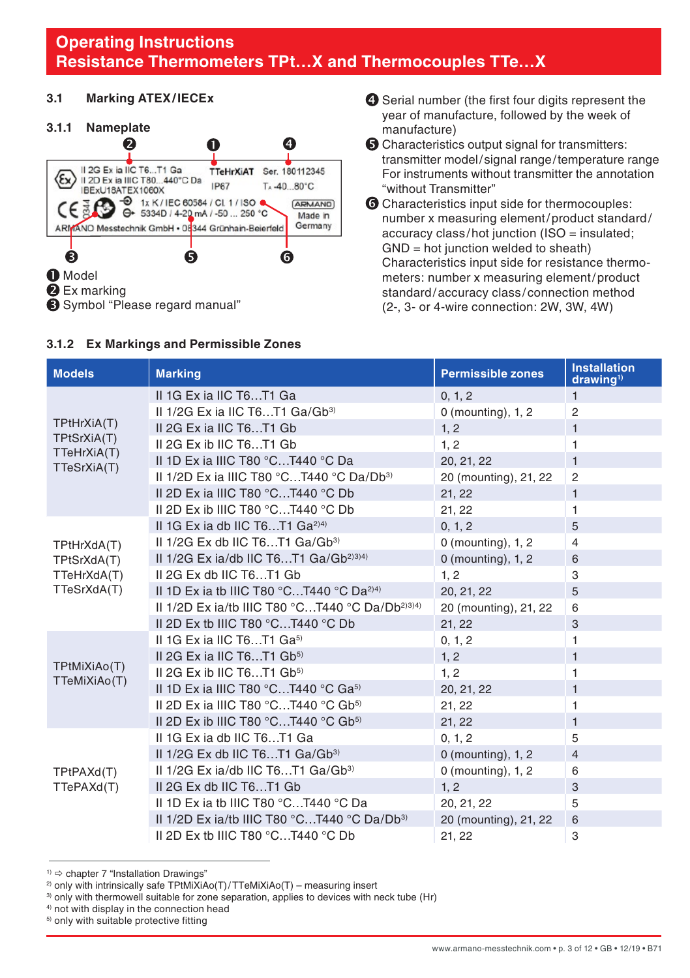### <span id="page-2-0"></span>**3.1 Marking ATEX/IECEx**

### **3.1.1 Nameplate**



#### **3.1.2 Ex Markings and Permissible Zones**

- $\bullet$  Serial number (the first four digits represent the year of manufacture, followed by the week of manufacture)
- **O** Characteristics output signal for transmitters: transmitter model/signal range/temperature range For instruments without transmitter the annotation "without Transmitter"
- **G** Characteristics input side for thermocouples: number x measuring element/product standard/ accuracy class /hot junction (ISO = insulated; GND = hot junction welded to sheath) Characteristics input side for resistance thermometers: number x measuring element/product standard/accuracy class / connection method (2-, 3- or 4-wire connection: 2W, 3W, 4W)

| <b>Models</b>                | <b>Marking</b>                                                              | <b>Permissible zones</b> | <b>Installation</b><br>drawing <sup>1</sup> |
|------------------------------|-----------------------------------------------------------------------------|--------------------------|---------------------------------------------|
|                              | II 1G Ex ia IIC T6T1 Ga                                                     | 0, 1, 2                  | $\mathbf{1}$                                |
|                              | II 1/2G Ex ia IIC T6T1 Ga/Gb <sup>3)</sup>                                  | $0$ (mounting), $1, 2$   | $\overline{2}$                              |
| TPtHrXiA(T)                  | II 2G Ex ia IIC T6T1 Gb                                                     | 1, 2                     | $\mathbf{1}$                                |
| TPtSrXiA(T)                  | II 2G Ex ib IIC T6T1 Gb                                                     | 1, 2                     | 1                                           |
| TTeHrXiA(T)<br>TTeSrXiA(T)   | II 1D Ex ia IIIC T80 °CT440 °C Da                                           | 20, 21, 22               | $\mathbf{1}$                                |
|                              | II 1/2D Ex ia IIIC T80 °CT440 °C Da/Db <sup>3)</sup>                        | 20 (mounting), 21, 22    | 2                                           |
|                              | II 2D Ex ia IIIC T80 °CT440 °C Db                                           | 21, 22                   | $\mathbf{1}$                                |
|                              | II 2D Ex ib IIIC T80 °CT440 °C Db                                           | 21, 22                   | 1                                           |
|                              | II 1G Ex ia db IIC T6T1 $Ga^{2(4)}$                                         | 0, 1, 2                  | 5                                           |
| TPtHrXdA(T)                  | II $1/2G$ Ex db IIC T6T1 $Ga/Gb^{3}$                                        | 0 (mounting), 1, 2       | $\overline{4}$                              |
| TPtSrXdA(T)                  | II 1/2G Ex ia/db IIC T6T1 $Ga/Gb^{2(34)}$                                   | $0$ (mounting), 1, 2     | 6                                           |
| TTeHrXdA(T)                  | II 2G Ex db IIC T6T1 Gb                                                     | 1, 2                     | 3                                           |
| TTeSrXdA(T)                  | II 1D Ex ia th IIIC T80 °CT440 °C Da <sup>2)4)</sup>                        | 20, 21, 22               | 5                                           |
|                              | II 1/2D Ex ia/tb IIIC T80 °CT440 °C Da/Db <sup>2)3)4)</sup>                 | 20 (mounting), 21, 22    | 6                                           |
|                              | II 2D Ex tb IIIC T80 $^{\circ}$ CT440 $^{\circ}$ C Db                       | 21, 22                   | 3                                           |
|                              | II 1G Ex ia IIC T6T1 $Ga^{5}$                                               | 0, 1, 2                  | 1                                           |
|                              | II 2G Ex ia IIC T6T1 Gb <sup>5)</sup>                                       | 1, 2                     | $\mathbf{1}$                                |
| TPtMiXiAo(T)<br>TTeMiXiAo(T) | II 2G Ex ib IIC $T6T1$ Gb <sup>5)</sup>                                     | 1, 2                     | 1                                           |
|                              | II 1D Ex ia IIIC T80 °CT440 °C Ga <sup>5)</sup>                             | 20, 21, 22               | $\mathbf{1}$                                |
|                              | II 2D Ex ia IIIC T80 $°C$ T440 $°C$ Gb <sup>5)</sup>                        | 21, 22                   | 1                                           |
|                              | II 2D Ex ib IIIC T80 $^{\circ}$ CT440 $^{\circ}$ C Gb <sup>5)</sup>         | 21, 22                   | $\mathbf{1}$                                |
|                              | II 1G Ex ia db IIC T6T1 Ga                                                  | 0, 1, 2                  | 5                                           |
|                              | II $1/2G$ Ex db IIC T6T1 $Ga/Gb^{3}$                                        | $0$ (mounting), 1, 2     | $\overline{4}$                              |
| TPtPAXd(T)                   | II $1/2G$ Ex ia/db IIC T6T1 $Ga/Gb^{3}$                                     | $0$ (mounting), $1, 2$   | 6                                           |
| TTePAXd(T)                   | II 2G Ex db IIC T6T1 Gb                                                     | 1.2                      | 3                                           |
|                              | II 1D Ex ia tb IIIC T80 °CT440 °C Da                                        | 20, 21, 22               | 5                                           |
|                              | II 1/2D Ex ia/tb IIIC T80 $^{\circ}$ CT440 $^{\circ}$ C Da/Db <sup>3)</sup> | 20 (mounting), 21, 22    | 6                                           |
|                              | II 2D Ex tb IIIC T80 $^{\circ}$ CT440 $^{\circ}$ C Db                       | 21, 22                   | 3                                           |

 $1)$   $\Rightarrow$  chapter 7 "Installation Drawings"

5) only with suitable protective fitting

<sup>&</sup>lt;sup>2)</sup> only with intrinsically safe TPtMiXiAo(T)/TTeMiXiAo(T) – measuring insert

<sup>&</sup>lt;sup>3)</sup> only with thermowell suitable for zone separation, applies to devices with neck tube (Hr)

<sup>4)</sup> not with display in the connection head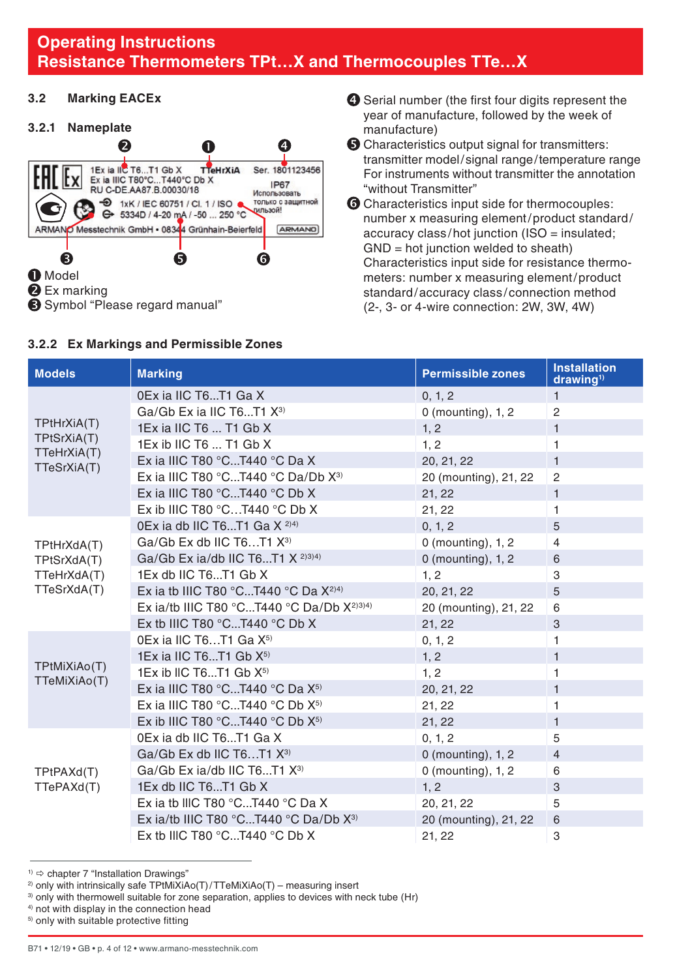### <span id="page-3-0"></span>**3.2 Marking EACEx**

#### **3.2.1 Nameplate**



#### **3.2.2 Ex Markings and Permissible Zones**

- $\bullet$  Serial number (the first four digits represent the year of manufacture, followed by the week of manufacture)
- **O** Characteristics output signal for transmitters: transmitter model/signal range/temperature range For instruments without transmitter the annotation "without Transmitter"
- **G** Characteristics input side for thermocouples: number x measuring element/product standard/ accuracy class /hot junction (ISO = insulated; GND = hot junction welded to sheath) Characteristics input side for resistance thermometers: number x measuring element/product standard/accuracy class /connection method (2-, 3- or 4-wire connection: 2W, 3W, 4W)

| <b>Models</b>                | <b>Marking</b>                                       | <b>Permissible zones</b> | <b>Installation</b><br>drawing <sup>1</sup> |
|------------------------------|------------------------------------------------------|--------------------------|---------------------------------------------|
|                              | 0Ex ia IIC T6T1 Ga X                                 | 0, 1, 2                  | 1                                           |
|                              | Ga/Gb Ex ia IIC T6T1 X <sup>3)</sup>                 | $0$ (mounting), 1, 2     | $\overline{2}$                              |
| TPtHrXiA(T)                  | 1Ex ia IIC T6  T1 Gb X                               | 1, 2                     | $\mathbf{1}$                                |
| TPtSrXiA(T)<br>TTeHrXiA(T)   | 1Ex ib IIC T6  T1 Gb X                               | 1, 2                     | 1                                           |
| TTeSrXiA(T)                  | Ex ia IIIC T80 $^{\circ}$ CT440 $^{\circ}$ C Da X    | 20, 21, 22               | $\mathbf{1}$                                |
|                              | Ex ia IIIC T80 °CT440 °C Da/Db $X^3$                 | 20 (mounting), 21, 22    | $\overline{c}$                              |
|                              | Ex ia IIIC T80 $^{\circ}$ CT440 $^{\circ}$ C Db X    | 21, 22                   | $\mathbf{1}$                                |
|                              | Ex ib IIIC T80 $^{\circ}$ CT440 $^{\circ}$ C Db X    | 21, 22                   | 1                                           |
|                              | 0Ex ia db IIC T6T1 Ga $X^{2(4)}$                     | 0, 1, 2                  | 5                                           |
| TPtHrXdA(T)                  | Ga/Gb Ex db IIC T6T1 X <sup>3)</sup>                 | 0 (mounting), 1, 2       | $\overline{4}$                              |
| TPtSrXdA(T)                  | Ga/Gb Ex ia/db IIC T6T1 $X^{2(3)(4)}$                | $0$ (mounting), 1, 2     | 6                                           |
| TTeHrXdA(T)                  | 1Ex db IIC T6T1 Gb X                                 | 1, 2                     | 3                                           |
| TTeSrXdA(T)                  | Ex ia tb IIIC T80 °CT440 °C Da $X^{2(4)}$            | 20, 21, 22               | 5                                           |
|                              | Ex ia/tb IIIC T80 °CT440 °C Da/Db $X^{2(3)}$         | 20 (mounting), 21, 22    | 6                                           |
|                              | Ex tb IIIC T80 $^{\circ}$ CT440 $^{\circ}$ C Db X    | 21, 22                   | 3                                           |
|                              | $0$ Ex ia IIC T6T1 Ga $X^{5}$                        | 0, 1, 2                  | 1                                           |
|                              | 1Ex ia IIC T6T1 Gb X <sup>5)</sup>                   | 1, 2                     | $\mathbf{1}$                                |
| TPtMiXiAo(T)<br>TTeMiXiAo(T) | $1Ex$ ib IIC T6T1 Gb $X^{5}$                         | 1, 2                     | 1                                           |
|                              | Ex ia IIIC T80 °CT440 °C Da $X^{5}$                  | 20, 21, 22               | $\mathbf{1}$                                |
|                              | Ex ia IIIC T80 °CT440 °C Db $X^{5}$                  | 21.22                    | 1                                           |
|                              | Ex ib IIIC T80 °CT440 °C Db $X^{5}$                  | 21, 22                   | $\mathbf{1}$                                |
|                              | 0Ex ia db IIC T6T1 Ga X                              | 0, 1, 2                  | 5                                           |
|                              | Ga/Gb Ex db IIC T6T1 $X^{3}$                         | $0$ (mounting), 1, 2     | $\overline{4}$                              |
| TPtPAXd(T)                   | Ga/Gb Ex ia/db IIC T6T1 X <sup>3)</sup>              | $0$ (mounting), $1, 2$   | 6                                           |
| TTePAXd(T)                   | 1Ex db IIC T6T1 Gb X                                 | 1, 2                     | 3                                           |
|                              | Ex ia tb IIIC T80 $^{\circ}$ CT440 $^{\circ}$ C Da X | 20, 21, 22               | 5                                           |
|                              | Ex ia/tb IIIC T80 °CT440 °C Da/Db $X^3$              | 20 (mounting), 21, 22    | 6                                           |
|                              | Ex tb IIIC T80 $^{\circ}$ CT440 $^{\circ}$ C Db X    | 21, 22                   | 3                                           |

 $1)$   $\Rightarrow$  chapter 7 "Installation Drawings"

4) not with display in the connection head

<sup>&</sup>lt;sup>2)</sup> only with intrinsically safe TPtMiXiAo(T)/TTeMiXiAo(T) – measuring insert

<sup>&</sup>lt;sup>3)</sup> only with thermowell suitable for zone separation, applies to devices with neck tube (Hr)

<sup>5)</sup> only with suitable protective fitting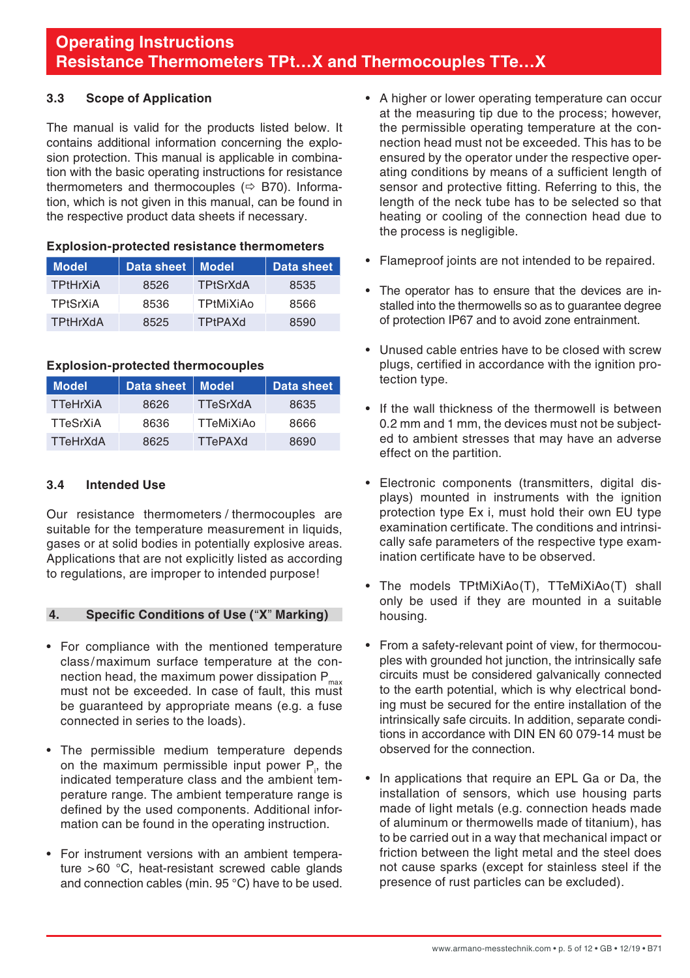#### <span id="page-4-0"></span>**3.3 Scope of Application**

The manual is valid for the products listed below. It contains additional information concerning the explosion protection. This manual is applicable in combination with the basic operating instructions for resistance thermometers and thermocouples ( $\Leftrightarrow$  B70). Information, which is not given in this manual, can be found in the respective product data sheets if necessary.

| <b>Model</b>    | Data sheet   Model |                  | Data sheet |
|-----------------|--------------------|------------------|------------|
| <b>TPtHrXiA</b> | 8526               | TPtSrXdA         | 8535       |
| TPtSrXiA        | 8536               | <b>TPtMiXiAo</b> | 8566       |
| <b>TPtHrXdA</b> | 8525               | <b>TPtPAXd</b>   | 8590       |

#### **Explosion-protected resistance thermometers**

#### **Explosion-protected thermocouples**

| <b>Model</b>    | Data sheet   Model |           | <b>Data sheet</b> |
|-----------------|--------------------|-----------|-------------------|
| <b>TTeHrXiA</b> | 8626               | TTeSrXdA  | 8635              |
| TTeSrXiA        | 8636               | TTeMiXiAo | 8666              |
| TTeHrXdA        | 8625               | TTePAXd   | 8690              |

#### **3.4 Intended Use**

Our resistance thermometers / thermocouples are suitable for the temperature measurement in liquids, gases or at solid bodies in potentially explosive areas. Applications that are not explicitly listed as according to regulations, are improper to intended purpose!

#### **4. Specific Conditions of Use (**"**X**" **Marking)**

- For compliance with the mentioned temperature class/maximum surface temperature at the connection head, the maximum power dissipation  $P_{max}$ must not be exceeded. In case of fault, this must be guaranteed by appropriate means (e.g. a fuse connected in series to the loads).
- The permissible medium temperature depends on the maximum permissible input power  $P_{i}$ , the indicated temperature class and the ambient temperature range. The ambient temperature range is defined by the used components. Additional information can be found in the operating instruction.
- For instrument versions with an ambient temperature >60 °C, heat-resistant screwed cable glands and connection cables (min. 95 °C) have to be used.
- A higher or lower operating temperature can occur at the measuring tip due to the process; however, the permissible operating temperature at the connection head must not be exceeded. This has to be ensured by the operator under the respective operating conditions by means of a sufficient length of sensor and protective fitting. Referring to this, the length of the neck tube has to be selected so that heating or cooling of the connection head due to the process is negligible.
- Flameproof joints are not intended to be repaired.
- The operator has to ensure that the devices are installed into the thermowells so as to quarantee degree of protection IP67 and to avoid zone entrainment.
- Unused cable entries have to be closed with screw plugs, certified in accordance with the ignition protection type.
- If the wall thickness of the thermowell is between 0.2 mm and 1 mm, the devices must not be subjected to ambient stresses that may have an adverse effect on the partition.
- Electronic components (transmitters, digital displays) mounted in instruments with the ignition protection type Ex i, must hold their own EU type examination certificate. The conditions and intrinsically safe parameters of the respective type examination certificate have to be observed.
- The models TPtMiXiAo(T), TTeMiXiAo(T) shall only be used if they are mounted in a suitable housing.
- From a safety-relevant point of view, for thermocouples with grounded hot junction, the intrinsically safe circuits must be considered galvanically connected to the earth potential, which is why electrical bonding must be secured for the entire installation of the intrinsically safe circuits. In addition, separate conditions in accordance with DIN EN 60 079-14 must be observed for the connection.
- In applications that require an EPL Ga or Da, the installation of sensors, which use housing parts made of light metals (e.g. connection heads made of aluminum or thermowells made of titanium), has to be carried out in a way that mechanical impact or friction between the light metal and the steel does not cause sparks (except for stainless steel if the presence of rust particles can be excluded).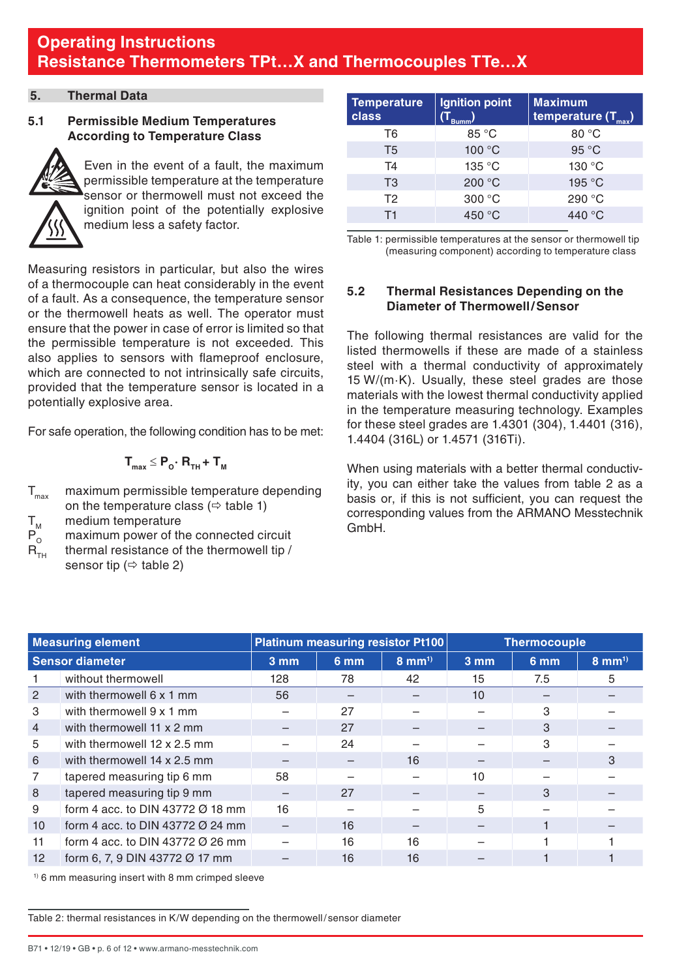### <span id="page-5-0"></span>**5. Thermal Data**

## **5.1 Permissible Medium Temperatures According to Temperature Class**



Even in the event of a fault, the maximum permissible temperature at the temperature sensor or thermowell must not exceed the ignition point of the potentially explosive medium less a safety factor.

Measuring resistors in particular, but also the wires of a thermocouple can heat considerably in the event of a fault. As a consequence, the temperature sensor or the thermowell heats as well. The operator must ensure that the power in case of error is limited so that the permissible temperature is not exceeded. This also applies to sensors with flameproof enclosure, which are connected to not intrinsically safe circuits, provided that the temperature sensor is located in a potentially explosive area.

For safe operation, the following condition has to be met:

$$
\boldsymbol{T}_{\text{max}} \leq \boldsymbol{P}_o \boldsymbol{\cdot} \boldsymbol{R}_{\text{th}} + \boldsymbol{T}_{\text{M}}
$$

T<sub>nam</sub> maximum permissible temperature depending on the temperature class ( $\Leftrightarrow$  table 1)

 $T_M$  medium temperature<br> $P_0$  maximum power of the

 $P_{\text{o}}$  maximum power of the connected circuit<br>R... thermal resistance of the thermowell tip / thermal resistance of the thermowell tip /

sensor tip ( $\Leftrightarrow$  table 2)

| <b>Temperature</b><br>class | Ignition point | <b>Maximum</b><br>temperature (T <sub>max</sub> ) |
|-----------------------------|----------------|---------------------------------------------------|
| T <sub>6</sub>              | 85 °C          | 80 °C                                             |
| T <sub>5</sub>              | 100 °C         | 95 °C                                             |
| T <sub>4</sub>              | 135 °C         | 130 °C                                            |
| T <sub>3</sub>              | 200 °C         | 195 °C                                            |
| T <sub>2</sub>              | 300 °C         | 290 °C                                            |
| T1                          | 450 °C         | 440 °C                                            |

Table 1: permissible temperatures at the sensor or thermowell tip (measuring component) according to temperature class

### **5.2 Thermal Resistances Depending on the Diameter of Thermowell/Sensor**

The following thermal resistances are valid for the listed thermowells if these are made of a stainless steel with a thermal conductivity of approximately 15 W/(m·K). Usually, these steel grades are those materials with the lowest thermal conductivity applied in the temperature measuring technology. Examples for these steel grades are 1.4301 (304), 1.4401 (316), 1.4404 (316L) or 1.4571 (316Ti).

When using materials with a better thermal conductivity, you can either take the values from table 2 as a basis or, if this is not sufficient, you can request the corresponding values from the ARMANO Messtechnik GmbH.

| <b>Measuring element</b> |                                              |                  |      | Platinum measuring resistor Pt100 | <b>Thermocouple</b> |                 |                    |
|--------------------------|----------------------------------------------|------------------|------|-----------------------------------|---------------------|-----------------|--------------------|
| <b>Sensor diameter</b>   |                                              | $3 \, \text{mm}$ | 6 mm | $8 \text{ mm}^{1}$                | 3 mm                | 6 <sub>mm</sub> | $8 \text{ mm}^{1}$ |
|                          | without thermowell                           | 128              | 78   | 42                                | 15                  | 7.5             | 5                  |
| 2                        | with thermowell 6 x 1 mm                     | 56               |      |                                   | 10                  |                 |                    |
| 3                        | with thermowell 9 x 1 mm                     |                  | 27   |                                   |                     | 3               |                    |
| $\overline{4}$           | with thermowell 11 x 2 mm                    |                  | 27   |                                   |                     | 3               |                    |
| 5                        | with thermowell 12 x 2.5 mm                  |                  | 24   |                                   |                     | 3               |                    |
| 6                        | with thermowell 14 x 2.5 mm                  |                  |      | 16                                |                     |                 | 3                  |
| 7                        | tapered measuring tip 6 mm                   | 58               |      |                                   | 10                  |                 |                    |
| 8                        | tapered measuring tip 9 mm                   |                  | 27   |                                   |                     | 3               |                    |
| 9                        | form 4 acc. to DIN 43772 $\varnothing$ 18 mm | 16               |      |                                   | 5                   |                 |                    |
| 10                       | form 4 acc. to DIN 43772 $\varnothing$ 24 mm |                  | 16   |                                   |                     |                 |                    |
| 11                       | form 4 acc. to DIN 43772 $\varnothing$ 26 mm |                  | 16   | 16                                |                     |                 |                    |
| 12                       | form 6, 7, 9 DIN 43772 Ø 17 mm               |                  | 16   | 16                                |                     |                 |                    |

1) 6 mm measuring insert with 8 mm crimped sleeve

Table 2: thermal resistances in K/W depending on the thermowell/sensor diameter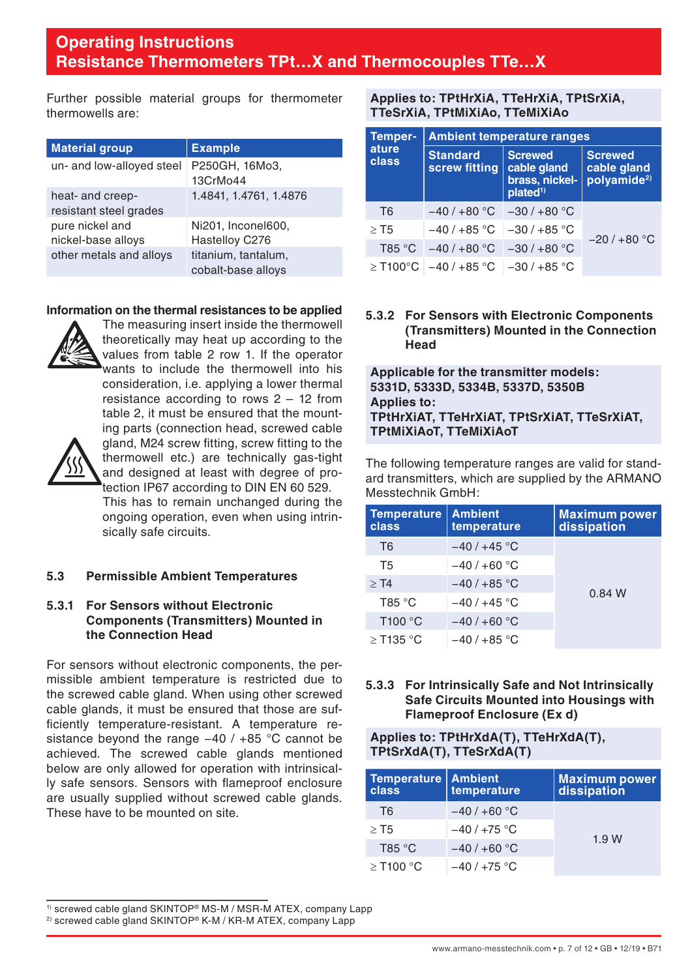<span id="page-6-0"></span>Further possible material groups for thermometer thermowells are:

| <b>Material group</b>                      | <b>Example</b>                            |
|--------------------------------------------|-------------------------------------------|
| un- and low-alloyed steel                  | P250GH, 16Mo3,<br>13CrMo44                |
| heat- and creep-<br>resistant steel grades | 1.4841, 1.4761, 1.4876                    |
| pure nickel and<br>nickel-base alloys      | Ni201, Inconel600,<br>Hastelloy C276      |
| other metals and alloys                    | titanium, tantalum,<br>cobalt-base alloys |

#### **Information on the thermal resistances to be applied**



The measuring insert inside the thermowell theoretically may heat up according to the values from table 2 row 1. If the operator wants to include the thermowell into his consideration, i.e. applying a lower thermal resistance according to rows 2 – 12 from table 2, it must be ensured that the mounting parts (connection head, screwed cable gland, M24 screw fitting, screw fitting to the thermowell etc.) are technically gas-tight and designed at least with degree of pro-



#### **5.3 Permissible Ambient Temperatures**

#### **5.3.1 For Sensors without Electronic Components (Transmitters) Mounted in the Connection Head**

For sensors without electronic components, the permissible ambient temperature is restricted due to the screwed cable gland. When using other screwed cable glands, it must be ensured that those are sufficiently temperature-resistant. A temperature resistance beyond the range −40 / +85 °C cannot be achieved. The screwed cable glands mentioned below are only allowed for operation with intrinsically safe sensors. Sensors with flameproof enclosure are usually supplied without screwed cable glands. These have to be mounted on site.

**Applies to: TPtHrXiA, TTeHrXiA, TPtSrXiA, TTeSrXiA, TPtMiXiAo, TTeMiXiAo**

| <b>Temper-</b>     | <b>Ambient temperature ranges</b>    |                                                                         |                                                          |  |
|--------------------|--------------------------------------|-------------------------------------------------------------------------|----------------------------------------------------------|--|
| ature<br>class     | <b>Standard</b><br>screw fitting     | <b>Screwed</b><br>cable gland<br>brass, nickel-<br>plated <sup>1)</sup> | <b>Screwed</b><br>cable gland<br>polyamide <sup>2)</sup> |  |
| T <sub>6</sub>     | $-40/+80 °C$ $-30/+80 °C$            |                                                                         |                                                          |  |
| $>$ T <sub>5</sub> | $-40/+85$ °C $-30/+85$ °C            |                                                                         | $-20/+80 °C$                                             |  |
|                    | T85 °C $-40/+80$ °C $-30/+80$ °C     |                                                                         |                                                          |  |
|                    | $>$ T100°C $-40/+85$ °C $-30/+85$ °C |                                                                         |                                                          |  |

#### **5.3.2 For Sensors with Electronic Components (Transmitters) Mounted in the Connection Head**

**Applicable for the transmitter models: 5331D, 5333D, 5334B, 5337D, 5350B Applies to: TPtHrXiAT, TTeHrXiAT, TPtSrXiAT, TTeSrXiAT, TPtMiXiAoT, TTeMiXiAoT**

The following temperature ranges are valid for standard transmitters, which are supplied by the ARMANO Messtechnik GmbH:

| <b>Temperature</b><br>class | <b>Ambient</b><br>temperature | <b>Maximum power</b><br>dissipation |  |
|-----------------------------|-------------------------------|-------------------------------------|--|
| T <sub>6</sub>              | $-40/+45$ °C                  |                                     |  |
| T <sub>5</sub>              | $-40/+60 °C$                  |                                     |  |
| $>$ T4                      | $-40/+85$ °C                  | 0.84 W                              |  |
| T85 °C                      | $-40/+45$ °C                  |                                     |  |
| T100 °C                     | $-40/+60$ °C                  |                                     |  |
| $\geq$ T135 °C              | $-40/+85 °C$                  |                                     |  |

#### **5.3.3 For Intrinsically Safe and Not Intrinsically Safe Circuits Mounted into Housings with Flameproof Enclosure (Ex d)**

**Applies to: TPtHrXdA(T), TTeHrXdA(T), TPtSrXdA(T), TTeSrXdA(T)**

| <b>Temperature   Ambient</b><br>class | temperature  | <b>Maximum power</b><br>dissipation |  |
|---------------------------------------|--------------|-------------------------------------|--|
| T <sub>6</sub>                        | $-40/+60 °C$ |                                     |  |
| $>$ T5                                | $-40/+75$ °C |                                     |  |
| T85 °C                                | $-40/+60 °C$ | 1.9W                                |  |
| $\geq$ T100 °C                        | $-40/+75 °C$ |                                     |  |

<sup>1)</sup> screwed cable gland SKINTOP® MS-M / MSR-M ATEX, company Lapp

<sup>2)</sup> screwed cable gland SKINTOP® K-M / KR-M ATEX, company Lapp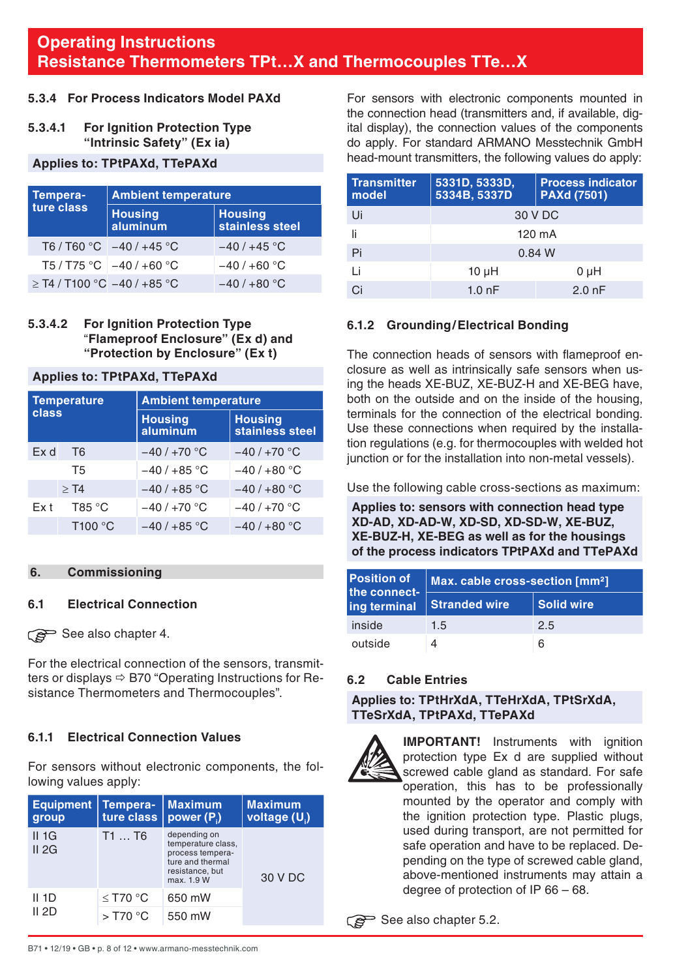## <span id="page-7-0"></span>**5.3.4 For Process Indicators Model PAXd**

#### **5.3.4.1 For Ignition Protection Type "Intrinsic Safety" (Ex ia)**

#### **Applies to: TPtPAXd, TTePAXd**

| Tempera-                         | <b>Ambient temperature</b> |                                   |
|----------------------------------|----------------------------|-----------------------------------|
| ture class                       | <b>Housing</b><br>aluminum | <b>Housing</b><br>stainless steel |
|                                  | T6/T60 °C $-40/+45$ °C     | $-40/+45$ °C                      |
|                                  | T5 / T75 °C $-40$ / +60 °C | $-40/+60 °C$                      |
| $\geq$ T4 / T100 °C -40 / +85 °C |                            | $-40/+80 °C$                      |

#### **5.3.4.2 For Ignition Protection Type**  "**Flameproof Enclosure" (Ex d) and "Protection by Enclosure" (Ex t)**

#### **Applies to: TPtPAXd, TTePAXd**

| <b>Temperature</b><br>class |                | <b>Ambient temperature</b> |                                   |  |
|-----------------------------|----------------|----------------------------|-----------------------------------|--|
|                             |                | <b>Housing</b><br>aluminum | <b>Housing</b><br>stainless steel |  |
| Ex d                        | T <sub>6</sub> | $-40/+70$ °C               | $-40/+70 °C$                      |  |
|                             | <b>T5</b>      | $-40/+85$ °C               | $-40/+80 °C$                      |  |
|                             | $>$ T4         | $-40/+85$ °C               | $-40/+80 °C$                      |  |
| Fx t                        | T85 °C         | $-40/+70 °C$               | $-40/+70 °C$                      |  |
|                             | T100 °C        | $-40/+85$ °C               | $-40/+80 °C$                      |  |

### **6. Commissioning**

#### **6.1 Electrical Connection**

See also chapter 4.

For the electrical connection of the sensors, transmitters or displays  $\Rightarrow$  B70 "Operating Instructions for Resistance Thermometers and Thermocouples".

#### **6.1.1 Electrical Connection Values**

For sensors without electronic components, the following values apply:

| <b>Equipment</b><br>group | Tempera-<br>ture class | Maximum<br>power $(P_i)$                                                                                    | <b>Maximum</b><br>voltage (U) |
|---------------------------|------------------------|-------------------------------------------------------------------------------------------------------------|-------------------------------|
| $II$ 1G<br>II 2G          | T1T6                   | depending on<br>temperature class,<br>process tempera-<br>ture and thermal<br>resistance, but<br>max. 1.9 W | 30 V DC                       |
| II 1D<br>II 2D            | $<$ T70 $^{\circ}$ C   | 650 mW                                                                                                      |                               |
|                           | $>$ T70 °C             | 550 mW                                                                                                      |                               |

For sensors with electronic components mounted in the connection head (transmitters and, if available, digital display), the connection values of the components do apply. For standard ARMANO Messtechnik GmbH head-mount transmitters, the following values do apply:

| <b>Transmitter</b><br>model | 5331D, 5333D.<br>5334B, 5337D | <b>Process indicator</b><br><b>PAXd (7501)</b> |  |
|-----------------------------|-------------------------------|------------------------------------------------|--|
| Ui                          | 30 V DC                       |                                                |  |
| Ιi                          | 120 mA                        |                                                |  |
| Pi                          | 0.84 W                        |                                                |  |
| Ιi                          | $10 \mu H$                    | 0 µH                                           |  |
| Ci                          | $1.0h$ F                      | $2.0h$ F                                       |  |

### **6.1.2 Grounding/Electrical Bonding**

The connection heads of sensors with flameproof enclosure as well as intrinsically safe sensors when using the heads XE-BUZ, XE-BUZ-H and XE-BEG have, both on the outside and on the inside of the housing, terminals for the connection of the electrical bonding. Use these connections when required by the installation regulations (e.g. for thermocouples with welded hot junction or for the installation into non-metal vessels).

Use the following cable cross-sections as maximum:

**Applies to: sensors with connection head type XD-AD, XD-AD-W, XD-SD, XD-SD-W, XE-BUZ, XE-BUZ-H, XE-BEG as well as for the housings of the process indicators TPtPAXd and TTePAXd**

| Position of<br>the connect- | Max. cable cross-section [mm <sup>2</sup> ] |            |  |
|-----------------------------|---------------------------------------------|------------|--|
| ing terminal                | <b>Stranded wire</b>                        | Solid wire |  |
| inside                      | 1.5                                         | 2.5        |  |
| outside                     |                                             | 6          |  |

#### **6.2 Cable Entries**

**Applies to: TPtHrXdA, TTeHrXdA, TPtSrXdA, TTeSrXdA, TPtPAXd, TTePAXd**



**IMPORTANT!** Instruments with ignition protection type Ex d are supplied without screwed cable gland as standard. For safe operation, this has to be professionally mounted by the operator and comply with the ignition protection type. Plastic plugs, used during transport, are not permitted for safe operation and have to be replaced. Depending on the type of screwed cable gland, above-mentioned instruments may attain a degree of protection of IP 66 – 68.

See also chapter 5.2.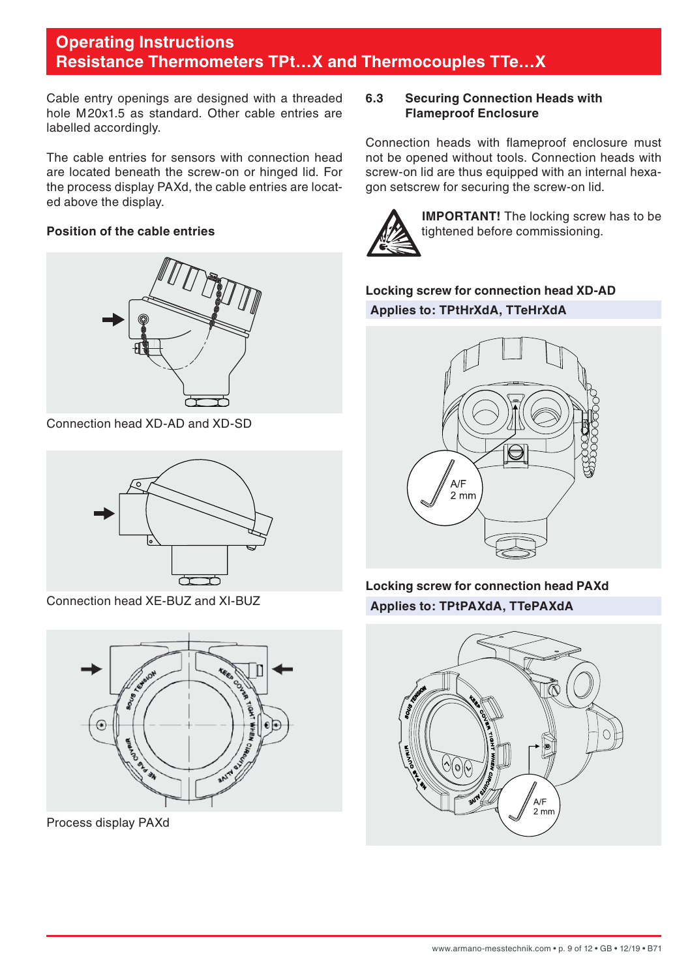<span id="page-8-0"></span>Cable entry openings are designed with a threaded hole M20x1.5 as standard. Other cable entries are labelled accordingly.

The cable entries for sensors with connection head are located beneath the screw-on or hinged lid. For the process display PAXd, the cable entries are located above the display.

## **Position of the cable entries**



Connection head XD-AD and XD-SD



Connection head XE-BUZ and XI-BUZ



Process display PAXd

## **6.3 Securing Connection Heads with Flameproof Enclosure**

Connection heads with flameproof enclosure must not be opened without tools. Connection heads with screw-on lid are thus equipped with an internal hexagon setscrew for securing the screw-on lid.



**IMPORTANT!** The locking screw has to be tightened before commissioning.

**Locking screw for connection head XD-AD Applies to: TPtHrXdA, TTeHrXdA**



**Locking screw for connection head PAXd Applies to: TPtPAXdA, TTePAXdA**

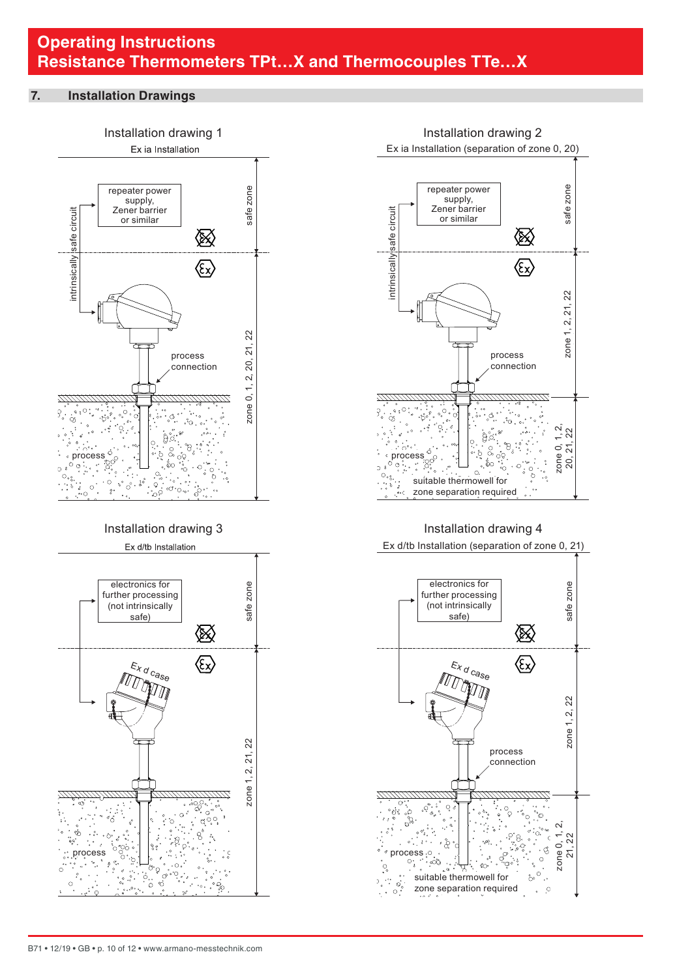#### <span id="page-9-0"></span>**7. Installation Drawings**







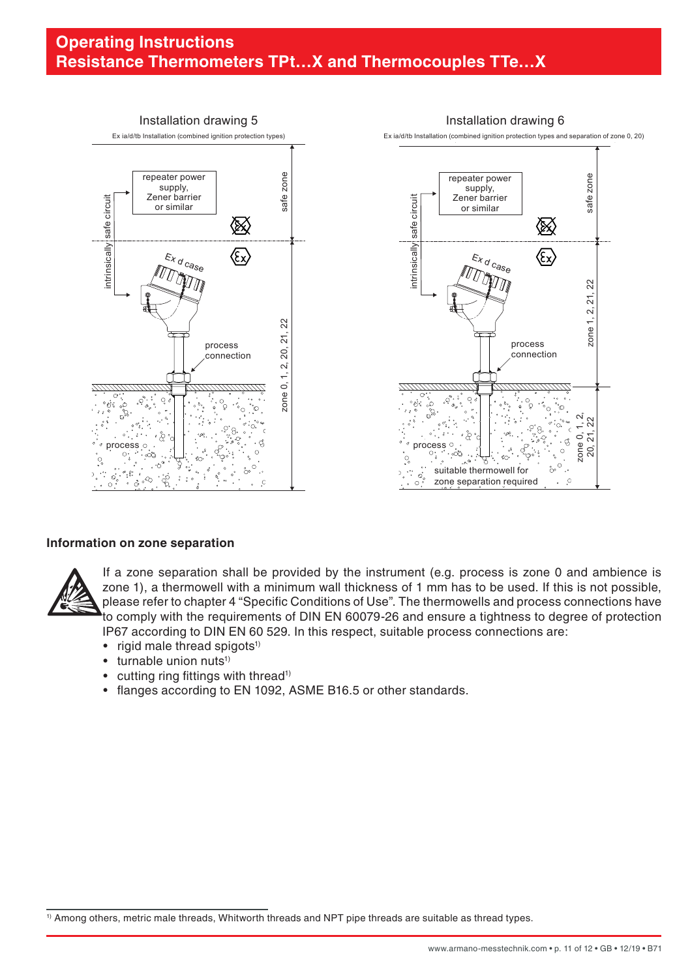

#### **Information on zone separation**



If a zone separation shall be provided by the instrument (e.g. process is zone 0 and ambience is zone 1), a thermowell with a minimum wall thickness of 1 mm has to be used. If this is not possible, please refer to chapter 4 "Specific Conditions of Use". The thermowells and process connections have to comply with the requirements of DIN EN 60079-26 and ensure a tightness to degree of protection IP67 according to DIN EN 60 529. In this respect, suitable process connections are:

- $\bullet$  rigid male thread spigots<sup>1)</sup>
- turnable union nuts<sup>1)</sup>
- cutting ring fittings with thread<sup>1)</sup>
- flanges according to EN 1092, ASME B16.5 or other standards.

<sup>1)</sup> Among others, metric male threads, Whitworth threads and NPT pipe threads are suitable as thread types.